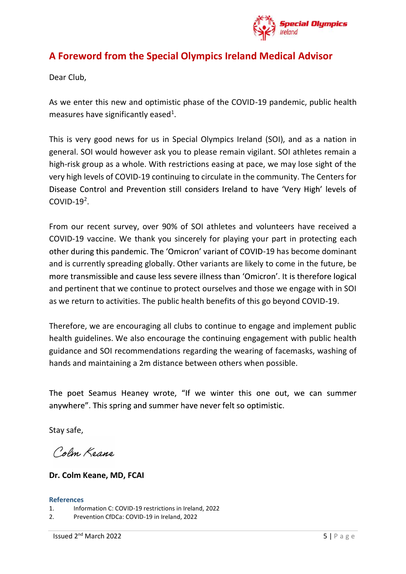

## A Foreword from the Special Olympics Ireland Medical Advisor

Dear Club,

As we enter this new and optimistic phase of the COVID-19 pandemic, public health measures have significantly eased<sup>1</sup>.

. This is very good news for us in Special Olympics Ireland (SOI), and as a nation in general. SOI would however ask you to please remain vigilant. SOI athletes remain a high-risk group as a whole. With restrictions easing at pace, we may lose sight of the very high levels of COVID-19 continuing to circulate in the community. The Centers for  $COMID-19<sup>2</sup>$ 

. From our recent survey, over 90% of SOI athletes and volunteers have received a COVID-19 vaccine. We thank you sincerely for playing your part in protecting each other during this pandemic. The 'Omicron' variant of COVID-19 has become dominant As we enter this new and optimistic phase of the COVID-19 pandemic, public health<br>measures have significantly eased<sup>1</sup>.<br>This is very good news for us in Special Olympics Ireland (SOI), and as a nation in<br>general. SOI would and pertinent that we continue to protect ourselves and those we engage with in SOI as we return to activities. The public health benefits of this go beyond COVID-19. meyr high levels of COVID-19 continuing to circulate in the community. The Centers for<br>Disease Control and Prevention still considers Ireland to have 'Very High' levels of<br>COVID-19<sup>2</sup>.<br>From our recent survey, over 90% of S

Therefore, we are encouraging all clubs to continue to engage and implement public guidance and SOI recommendations regarding the wearing of facemasks, washing of hands and maintaining a 2m distance between others when possible. health guidelines. We also encourage the continuing engagement with public<br>guidance and SOI recommendations regarding the wearing of facemasks, wa:<br>hands and maintaining a 2m distance between others when possible.<br>The poet guidance and SOI recommendations regarding the wearing of facem<br>hands and maintaining a 2m distance between others when possible.<br>The poet Seamus Heaney wrote, "If we winter this one out, v<br>anywhere". This spring and summe

ands and manitaliting a 2nd distance between binets when possible.<br>
The poet Seamus Heaney wrote, "If we winter this one out, we can summer<br>
nywhere". This spring and summer have never felt so optimistic.<br>
Etay safe,<br>  $\text$ 

Stay safe,

## Dr. Colm Keane, MD, FCAI

## References

- 
-